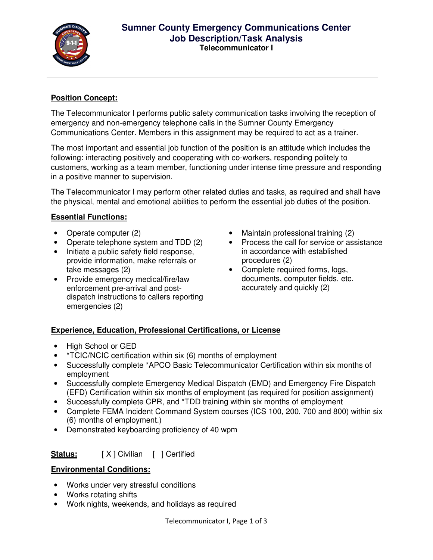

#### **Sumner County Emergency Communications Center Job Description/Task Analysis Telecommunicator I**

### **Position Concept:**

The Telecommunicator I performs public safety communication tasks involving the reception of emergency and non-emergency telephone calls in the Sumner County Emergency Communications Center. Members in this assignment may be required to act as a trainer.

The most important and essential job function of the position is an attitude which includes the following: interacting positively and cooperating with co-workers, responding politely to customers, working as a team member, functioning under intense time pressure and responding in a positive manner to supervision.

The Telecommunicator I may perform other related duties and tasks, as required and shall have the physical, mental and emotional abilities to perform the essential job duties of the position.

#### **Essential Functions:**

- Operate computer (2)
- Operate telephone system and TDD (2)
- Initiate a public safety field response, provide information, make referrals or take messages (2)
- Provide emergency medical/fire/law enforcement pre-arrival and postdispatch instructions to callers reporting emergencies (2)
- Maintain professional training (2)
- Process the call for service or assistance in accordance with established procedures (2)
- Complete required forms, logs, documents, computer fields, etc. accurately and quickly (2)

# **Experience, Education, Professional Certifications, or License**

- High School or GED
- \*TCIC/NCIC certification within six (6) months of employment
- Successfully complete \*APCO Basic Telecommunicator Certification within six months of employment
- Successfully complete Emergency Medical Dispatch (EMD) and Emergency Fire Dispatch (EFD) Certification within six months of employment (as required for position assignment)
- Successfully complete CPR, and \*TDD training within six months of employment
- Complete FEMA Incident Command System courses (ICS 100, 200, 700 and 800) within six (6) months of employment.)
- Demonstrated keyboarding proficiency of 40 wpm

# **Status:** [ X ] Civilian [ ] Certified

#### **Environmental Conditions:**

- Works under very stressful conditions
- Works rotating shifts
- Work nights, weekends, and holidays as required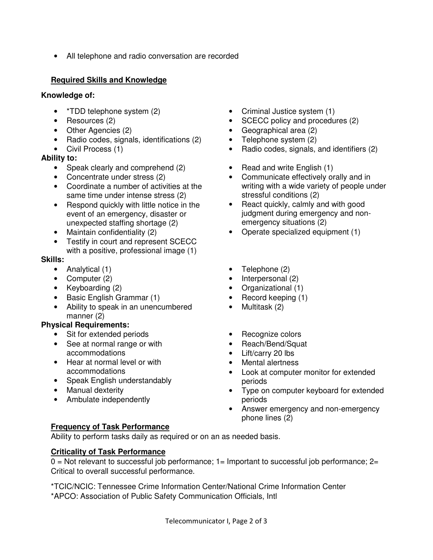• All telephone and radio conversation are recorded

# **Required Skills and Knowledge**

### **Knowledge of:**

- \*TDD telephone system (2)
- Resources (2)
- Other Agencies (2)
- Radio codes, signals, identifications (2)
- Civil Process (1)

### **Ability to:**

- Speak clearly and comprehend (2)
- Concentrate under stress (2)
- Coordinate a number of activities at the same time under intense stress (2)
- Respond quickly with little notice in the event of an emergency, disaster or unexpected staffing shortage (2)
- Maintain confidentiality (2)
- Testify in court and represent SCECC with a positive, professional image (1)

### **Skills:**

- Analytical (1)
- Computer (2)
- Keyboarding (2)
- Basic English Grammar (1)
- Ability to speak in an unencumbered manner (2)

# **Physical Requirements:**

- Sit for extended periods
- See at normal range or with accommodations
- Hear at normal level or with accommodations
- Speak English understandably
- Manual dexterity
- Ambulate independently

# **Frequency of Task Performance**

Ability to perform tasks daily as required or on an as needed basis.

# **Criticality of Task Performance**

 $0 = Not$  relevant to successful job performance;  $1 =$  Important to successful job performance;  $2 =$ Critical to overall successful performance.

\*TCIC/NCIC: Tennessee Crime Information Center/National Crime Information Center \*APCO: Association of Public Safety Communication Officials, Intl

- Criminal Justice system (1)
- SCECC policy and procedures (2)
- Geographical area (2)
- Telephone system (2)
- Radio codes, signals, and identifiers (2)
- Read and write English (1)
- Communicate effectively orally and in writing with a wide variety of people under stressful conditions (2)
- React quickly, calmly and with good judgment during emergency and nonemergency situations (2)
- Operate specialized equipment (1)
- Telephone (2)
- Interpersonal (2)
- Organizational (1)
- Record keeping (1)
- Multitask (2)
- Recognize colors
- Reach/Bend/Squat
- Lift/carry 20 lbs
- Mental alertness
- Look at computer monitor for extended periods
- Type on computer keyboard for extended periods
- Answer emergency and non-emergency phone lines (2)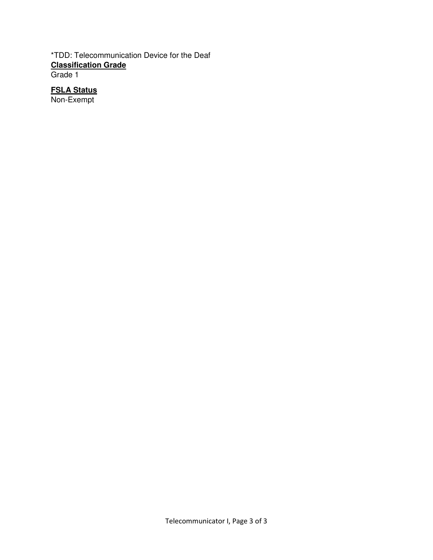#### \*TDD: Telecommunication Device for the Deaf **Classification Grade** Grade 1

### **FSLA Status**

Non-Exempt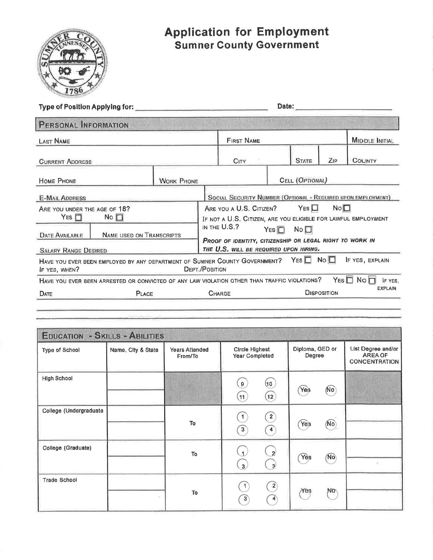

# **Application for Employment<br>Sumner County Government**

| PERSONAL INFORMATION                                     |                                                                                                                         |                                  |                                                                                                    |                                                                                                     |     |                           |                    |                                                              |
|----------------------------------------------------------|-------------------------------------------------------------------------------------------------------------------------|----------------------------------|----------------------------------------------------------------------------------------------------|-----------------------------------------------------------------------------------------------------|-----|---------------------------|--------------------|--------------------------------------------------------------|
| <b>LAST NAME</b>                                         |                                                                                                                         |                                  | <b>FIRST NAME</b>                                                                                  |                                                                                                     |     | <b>MIDDLE INITIAL</b>     |                    |                                                              |
| <b>CURRENT ADDRESS</b>                                   |                                                                                                                         |                                  |                                                                                                    | CITY:                                                                                               |     | <b>STATE</b>              | ZIP                | <b>COUNTY</b>                                                |
| HOME PHONE                                               |                                                                                                                         | <b>WORK PHONE</b>                |                                                                                                    |                                                                                                     |     | CELL (OPTIONAL)           |                    |                                                              |
| <b>E-MAIL ADDRESS</b>                                    |                                                                                                                         |                                  |                                                                                                    |                                                                                                     |     |                           |                    | SOCIAL SECURITY NUMBER (OPTIONAL - REQUIRED UPON EMPLOYMENT) |
| ARE YOU UNDER THE AGE OF 18?<br>$YES$ $\Box$             | $No$ $\Box$                                                                                                             |                                  |                                                                                                    | ARE YOU A U.S. CITIZEN? YES $\Box$<br>IF NOT A U.S. CITIZEN, ARE YOU ELIGIBLE FOR LAWFUL EMPLOYMENT |     |                           | No <sub>1</sub>    |                                                              |
| <b>NAME USED ON TRANSCRIPTS</b><br><b>DATE AVAILABLE</b> |                                                                                                                         |                                  | IN THE U.S.?<br>$Yes \Box$ No $\Box$                                                               |                                                                                                     |     |                           |                    |                                                              |
| <b>SALARY RANGE DESIRED</b>                              |                                                                                                                         |                                  | PROOF OF IDENTITY, CITIZENSHIP OR LEGAL RIGHT TO WORK IN<br>THE U.S. WILL BE REQUIRED UPON HIRING. |                                                                                                     |     |                           |                    |                                                              |
| IF YES, WHEN?                                            | HAVE YOU EVER BEEN EMPLOYED BY ANY DEPARTMENT OF SUMNER COUNTY GOVERNMENT? YES $\Box$ No $\Box$                         |                                  | <b>DEPT./POSITION</b>                                                                              |                                                                                                     |     |                           |                    | IF YES, EXPLAIN                                              |
|                                                          | HAVE YOU EVER BEEN ARRESTED OR CONVICTED OF ANY LAW VIOLATION OTHER THAN TRAFFIC VIOLATIONS? YES $\square$ No $\square$ |                                  |                                                                                                    |                                                                                                     |     |                           |                    | IF YES,<br><b>EXPLAIN</b>                                    |
| <b>DATE</b>                                              | PLACE                                                                                                                   |                                  |                                                                                                    | CHARGE                                                                                              |     |                           | <b>DISPOSITION</b> |                                                              |
|                                                          |                                                                                                                         |                                  |                                                                                                    |                                                                                                     |     |                           |                    |                                                              |
|                                                          |                                                                                                                         |                                  |                                                                                                    |                                                                                                     |     |                           |                    |                                                              |
|                                                          | <b>EDUCATION - SKILLS - ABILITIES</b>                                                                                   |                                  |                                                                                                    |                                                                                                     |     |                           |                    |                                                              |
| Type of School                                           | Name, City & State                                                                                                      | <b>Years Attended</b><br>From/To |                                                                                                    | <b>Circle Highest</b><br><b>Year Completed</b>                                                      |     | Diploma, GED or<br>Degree |                    | List Degree and/or<br><b>AREA OF</b><br><b>CONCENTRATION</b> |
| <b>High School</b>                                       |                                                                                                                         |                                  |                                                                                                    | $\mathbf{9}$                                                                                        | (10 |                           |                    |                                                              |

| High School            |               | $\mathbf{9}$<br>(11)                            | (10)<br>(12)                                          | <b>Yes</b>       | (No)        |    |
|------------------------|---------------|-------------------------------------------------|-------------------------------------------------------|------------------|-------------|----|
| College (Undergraduate | $\mathsf{To}$ | $\begin{bmatrix} 1 \end{bmatrix}$<br>$\sqrt{3}$ | $\binom{2}{ }$<br>$\left  4 \right\rangle$            | Yes              | 31<br>(No)  |    |
| College (Graduate)     | To            | $\sqrt{1}$<br>$\overline{\mathbf{3}}$           | $\setminus$ 2<br>$\begin{pmatrix} 3 \end{pmatrix}$    | $\widehat{Y}$ es | $\sqrt{NQ}$ | ×. |
| Trade School           | To            | $\left(3\right)$                                | $\begin{pmatrix} 2 \end{pmatrix}$<br>$\left(4\right)$ | Yes              | No          |    |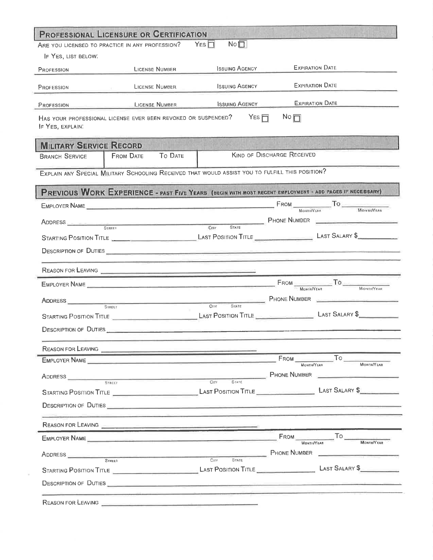|                                     | ARE YOU LICENSED TO PRACTICE IN ANY PROFESSION?                                                                                                                                                                                      | $N \circ \Box$<br>$Y_{ES}$ $\Box$ |                                                                                                  |                                                                                                                                                                                                                                                    |  |
|-------------------------------------|--------------------------------------------------------------------------------------------------------------------------------------------------------------------------------------------------------------------------------------|-----------------------------------|--------------------------------------------------------------------------------------------------|----------------------------------------------------------------------------------------------------------------------------------------------------------------------------------------------------------------------------------------------------|--|
| IF YES, LIST BELOW.                 |                                                                                                                                                                                                                                      |                                   |                                                                                                  |                                                                                                                                                                                                                                                    |  |
| LICENSE NUMBER<br>PROFESSION        |                                                                                                                                                                                                                                      | <b>ISSUING AGENCY</b>             | <b>EXPIRATION DATE</b>                                                                           |                                                                                                                                                                                                                                                    |  |
| <b>LICENSE NUMBER</b><br>PROFESSION |                                                                                                                                                                                                                                      | <b>ISSUING AGENCY</b>             | <b>EXPIRATION DATE</b>                                                                           |                                                                                                                                                                                                                                                    |  |
| PROFESSION                          | <b>EXECUTIVE CONSERVATION CONSERVATION CONSERVATION CONSERVATION CONSERVATION CONSERVATION CONSERVATION</b>                                                                                                                          | <b>ISSUING AGENCY</b>             |                                                                                                  | EXPIRATION DATE                                                                                                                                                                                                                                    |  |
| IF YES, EXPLAIN.                    | HAS YOUR PROFESSIONAL LICENSE EVER BEEN REVOKED OR SUSPENDED?                                                                                                                                                                        | $YES \Box$                        | $N \circ \Box$                                                                                   |                                                                                                                                                                                                                                                    |  |
| <b>MILITARY SERVICE RECORD</b>      |                                                                                                                                                                                                                                      |                                   |                                                                                                  |                                                                                                                                                                                                                                                    |  |
| <b>BRANCH SERVICE</b>               | To DATE<br><b>FROM DATE</b>                                                                                                                                                                                                          |                                   | <b>KIND OF DISCHARGE RECEIVED</b>                                                                |                                                                                                                                                                                                                                                    |  |
|                                     | EXPLAIN ANY SPECIAL MILITARY SCHOOLING RECEIVED THAT WOULD ASSIST YOU TO FULFILL THIS POSITION?                                                                                                                                      |                                   |                                                                                                  |                                                                                                                                                                                                                                                    |  |
|                                     | PREVIOUS WORK EXPERIENCE - PAST FIVE YEARS (BEGIN WITH MOST RECENT EMPLOYMENT - ADD PAGES IF NECESSARY)                                                                                                                              |                                   |                                                                                                  |                                                                                                                                                                                                                                                    |  |
|                                     |                                                                                                                                                                                                                                      |                                   |                                                                                                  |                                                                                                                                                                                                                                                    |  |
|                                     | ADDRESS <u>Contains Street Street Street Street Street Street Street Street Street Street Street Street Street Street Street Street Street Street Street Street Street Street Street Street Street Street Street Street Street S</u> |                                   | STATE PHONE NUMBER                                                                               |                                                                                                                                                                                                                                                    |  |
|                                     |                                                                                                                                                                                                                                      |                                   |                                                                                                  |                                                                                                                                                                                                                                                    |  |
|                                     |                                                                                                                                                                                                                                      |                                   |                                                                                                  |                                                                                                                                                                                                                                                    |  |
|                                     |                                                                                                                                                                                                                                      |                                   |                                                                                                  |                                                                                                                                                                                                                                                    |  |
| REASON FOR LEAVING                  |                                                                                                                                                                                                                                      |                                   |                                                                                                  |                                                                                                                                                                                                                                                    |  |
|                                     |                                                                                                                                                                                                                                      |                                   |                                                                                                  | FROM MONTHIVEAR TO MONTHIVEAR                                                                                                                                                                                                                      |  |
|                                     | <b>ADDRESS</b> CITY                                                                                                                                                                                                                  | <b>STATE</b><br>C(11)             | PHONE NUMBER                                                                                     |                                                                                                                                                                                                                                                    |  |
|                                     |                                                                                                                                                                                                                                      |                                   |                                                                                                  |                                                                                                                                                                                                                                                    |  |
|                                     | DESCRIPTION OF DUTIES                                                                                                                                                                                                                |                                   |                                                                                                  |                                                                                                                                                                                                                                                    |  |
|                                     | REASON FOR LEAVING                                                                                                                                                                                                                   |                                   |                                                                                                  |                                                                                                                                                                                                                                                    |  |
|                                     | EMPLOYER NAME AND A REPORT OF THE CONTROL OF THE CONTROL OF THE CONTROL OF THE CONTROL OF THE CONTROL OF THE CONTROL OF THE CONTROL OF THE CONTROL OF THE CONTROL OF THE CONTROL OF THE CONTROL OF THE CONTROL OF THE CONTROL        |                                   | FROM<br><b>MONTH/YEAR</b>                                                                        | To<br>MONTH/YEAR                                                                                                                                                                                                                                   |  |
| ADDRESS                             |                                                                                                                                                                                                                                      |                                   | PHONE NUMBER <b>And the Company of the Company of the Company of the Company of Texas (2014)</b> |                                                                                                                                                                                                                                                    |  |
|                                     | STREET                                                                                                                                                                                                                               | $C_{\text{ITY}}$<br>STATE.        |                                                                                                  |                                                                                                                                                                                                                                                    |  |
|                                     | DESCRIPTION OF DUTIES                                                                                                                                                                                                                |                                   |                                                                                                  |                                                                                                                                                                                                                                                    |  |
|                                     | REASON FOR LEAVING                                                                                                                                                                                                                   |                                   |                                                                                                  |                                                                                                                                                                                                                                                    |  |
|                                     | EMPLOYER NAME                                                                                                                                                                                                                        |                                   | $From$ <sub>---</sub>                                                                            | To                                                                                                                                                                                                                                                 |  |
|                                     |                                                                                                                                                                                                                                      |                                   | <b>PHONE NUMBER</b>                                                                              | <b>MONTH/YEAR</b><br>the control of the control of the control of the control of the control of the control of the control of the control of the control of the control of the control of the control of the control of the control of the control |  |
|                                     | $S$ TREET                                                                                                                                                                                                                            | City<br><b>STATE</b>              |                                                                                                  |                                                                                                                                                                                                                                                    |  |
|                                     |                                                                                                                                                                                                                                      |                                   |                                                                                                  |                                                                                                                                                                                                                                                    |  |
|                                     |                                                                                                                                                                                                                                      |                                   |                                                                                                  |                                                                                                                                                                                                                                                    |  |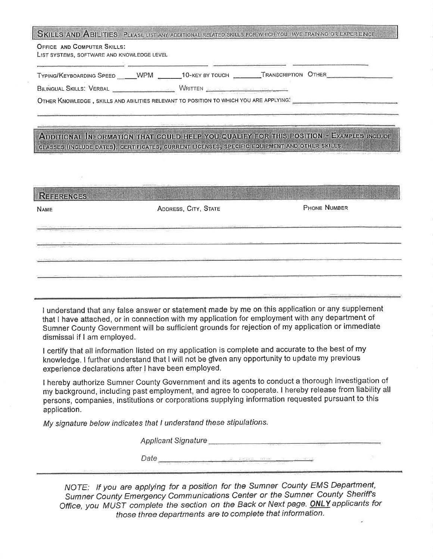| <b>OFFICE AND COMPUTER SKILLS:</b><br>LIST SYSTEMS, SOFTWARE AND KNOWLEDGE LEVEL      |  |  |
|---------------------------------------------------------------------------------------|--|--|
| TYPING/KEYBOARDING SPEED WPM _______10-KEY BY TOUCH ________TRANSCRIPTION OTHER       |  |  |
| BILINGUAL SKILLS. VERBAL __________________________WRITTEN ______________________     |  |  |
| OTHER KNOWLEDGE, SKILLS AND ABILITIES RELEVANT TO POSITION TO WHICH YOU ARE APPLYING: |  |  |

#### ADDITIONAL INFORMATION THAT COULD HELP YOU QUALIFY FOR THIS POSITION - EXAMPLES INCLUDE CLASSES (INCLUDE DATES), CERTIFICATES, CURRENT LICENSES, SPECIFIC EQUIPMENT AND OTHER SKILLS.

| <b>NAME</b>                                                                                            | ADDRESS, CITY, STATE | <b>PHONE NUMBER</b> |  |  |
|--------------------------------------------------------------------------------------------------------|----------------------|---------------------|--|--|
| The country of the constraints in collection<br>the company of the company of the state of the company |                      |                     |  |  |
| the property of the control of the con-                                                                |                      |                     |  |  |
| of the state of the Carroll William                                                                    |                      |                     |  |  |

I understand that any false answer or statement made by me on this application or any supplement that I have attached, or in connection with my application for employment with any department of Sumner County Government will be sufficient grounds for rejection of my application or immediate dismissal if I am employed.

I certify that all information listed on my application is complete and accurate to the best of my knowledge. I further understand that I will not be given any opportunity to update my previous experience declarations after I have been employed.

I hereby authorize Sumner County Government and its agents to conduct a thorough investigation of my background, including past employment, and agree to cooperate. I hereby release from liability all persons, companies, institutions or corporations supplying information requested pursuant to this application.

My signature below indicates that I understand these stipulations.

NOTE: If you are applying for a position for the Sumner County EMS Department, Sumner County Emergency Communications Center or the Sumner County Sheriff's Office, you MUST complete the section on the Back or Next page. ONLY applicants for those three departments are to complete that information.